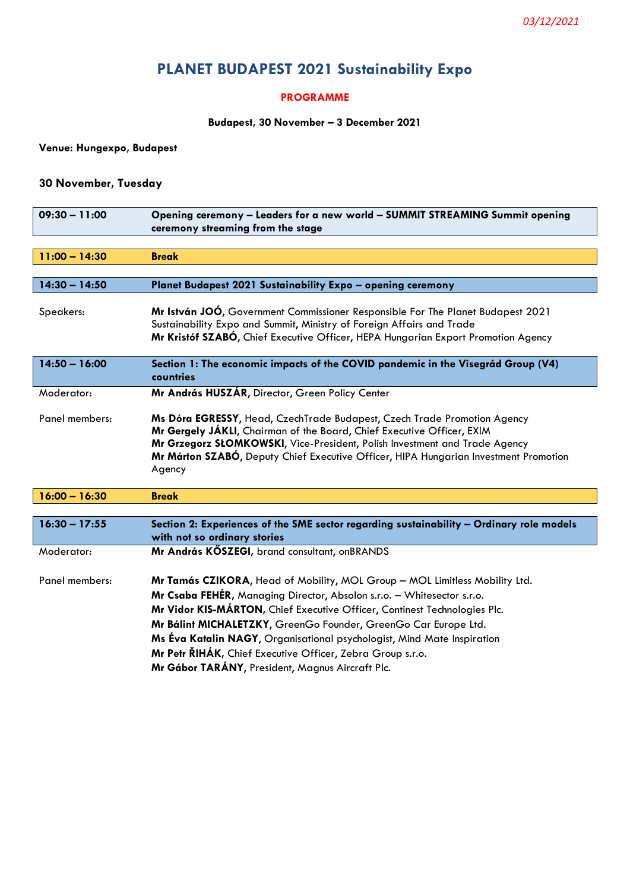# **PLANET BUDAPEST 2021 Sustainability Expo**

#### **PROGRAMME**

#### **Budapest, 30 November – 3 December 2021**

**Venue: Hungexpo, Budapest** 

## **30 November, Tuesday**

| Opening ceremony - Leaders for a new world - SUMMIT STREAMING Summit opening<br>ceremony streaming from the stage                                                                                                                                                                                                                  |
|------------------------------------------------------------------------------------------------------------------------------------------------------------------------------------------------------------------------------------------------------------------------------------------------------------------------------------|
|                                                                                                                                                                                                                                                                                                                                    |
| <b>Break</b>                                                                                                                                                                                                                                                                                                                       |
|                                                                                                                                                                                                                                                                                                                                    |
| Planet Budapest 2021 Sustainability Expo - opening ceremony                                                                                                                                                                                                                                                                        |
| Mr István JOÓ, Government Commissioner Responsible For The Planet Budapest 2021<br>Sustainability Expo and Summit, Ministry of Foreign Affairs and Trade<br>Mr Kristóf SZABÓ, Chief Executive Officer, HEPA Hungarian Export Promotion Agency                                                                                      |
| Section 1: The economic impacts of the COVID pandemic in the Visegrád Group (V4)<br>countries                                                                                                                                                                                                                                      |
| Mr András HUSZÁR, Director, Green Policy Center                                                                                                                                                                                                                                                                                    |
| Ms Dóra EGRESSY, Head, CzechTrade Budapest, Czech Trade Promotion Agency<br>Mr Gergely JÁKLI, Chairman of the Board, Chief Executive Officer, EXIM<br>Mr Grzegorz SŁOMKOWSKI, Vice-President, Polish Investment and Trade Agency<br>Mr Márton SZABÓ, Deputy Chief Executive Officer, HIPA Hungarian Investment Promotion<br>Agency |
| <b>Break</b>                                                                                                                                                                                                                                                                                                                       |
|                                                                                                                                                                                                                                                                                                                                    |
| Section 2: Experiences of the SME sector regarding sustainability - Ordinary role models<br>with not so ordinary stories                                                                                                                                                                                                           |
| Mr András KŐSZEGI, brand consultant, onBRANDS                                                                                                                                                                                                                                                                                      |
| Mr Tamás CZIKORA, Head of Mobility, MOL Group - MOL Limitless Mobility Ltd.<br>Mr Csaba FEHÉR, Managing Director, Absolon s.r.o. - Whitesector s.r.o.<br>Mr Vidor KIS-MÁRTON, Chief Executive Officer, Continest Technologies Plc.<br>Mr Bálint MICHALETZKY, GreenGo Founder, GreenGo Car Europe Ltd.                              |
|                                                                                                                                                                                                                                                                                                                                    |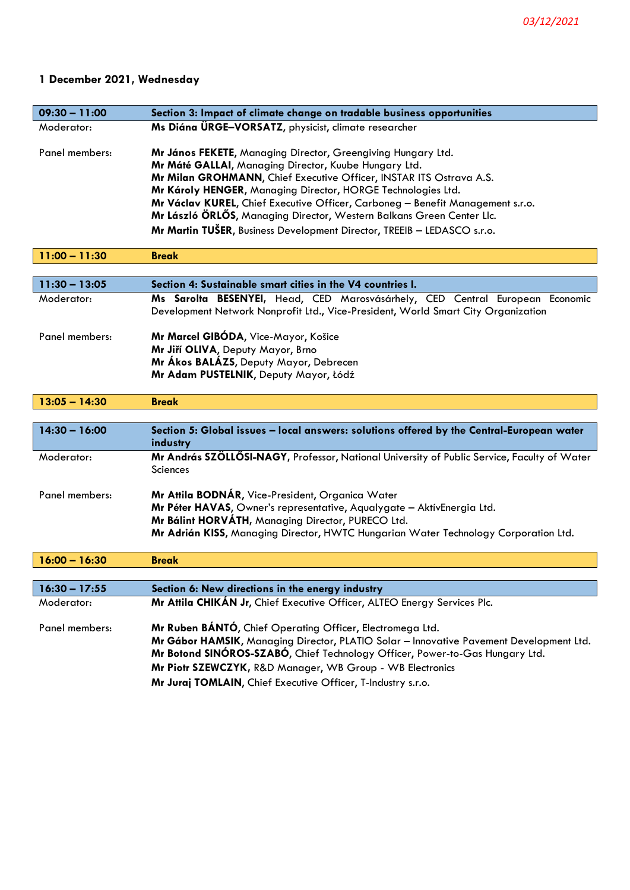# **1 December 2021, Wednesday**

| $09:30 - 11:00$ | Section 3: Impact of climate change on tradable business opportunities                                                                                                                                                                                                                                                                                                                                                                                                                             |
|-----------------|----------------------------------------------------------------------------------------------------------------------------------------------------------------------------------------------------------------------------------------------------------------------------------------------------------------------------------------------------------------------------------------------------------------------------------------------------------------------------------------------------|
| Moderator:      | Ms Diána ÜRGE-VORSATZ, physicist, climate researcher                                                                                                                                                                                                                                                                                                                                                                                                                                               |
| Panel members:  | Mr János FEKETE, Managing Director, Greengiving Hungary Ltd.<br>Mr Máté GALLAI, Managing Director, Kuube Hungary Ltd.<br>Mr Milan GROHMANN, Chief Executive Officer, INSTAR ITS Ostrava A.S.<br>Mr Károly HENGER, Managing Director, HORGE Technologies Ltd.<br>Mr Václav KUREL, Chief Executive Officer, Carboneg - Benefit Management s.r.o.<br>Mr László ÖRLŐS, Managing Director, Western Balkans Green Center Llc.<br>Mr Martin TUŠER, Business Development Director, TREEIB - LEDASCO s.r.o. |
| $11:00 - 11:30$ | <b>Break</b>                                                                                                                                                                                                                                                                                                                                                                                                                                                                                       |
|                 |                                                                                                                                                                                                                                                                                                                                                                                                                                                                                                    |
| $11:30 - 13:05$ | Section 4: Sustainable smart cities in the V4 countries I.                                                                                                                                                                                                                                                                                                                                                                                                                                         |
| Moderator:      | Ms Sarolta BESENYEI, Head, CED Marosvásárhely, CED Central European Economic<br>Development Network Nonprofit Ltd., Vice-President, World Smart City Organization                                                                                                                                                                                                                                                                                                                                  |
| Panel members:  | Mr Marcel GIBÓDA, Vice-Mayor, Košice<br>Mr Jiří OLIVA, Deputy Mayor, Brno<br>Mr Ákos BALÁZS, Deputy Mayor, Debrecen<br>Mr Adam PUSTELNIK, Deputy Mayor, Łódź                                                                                                                                                                                                                                                                                                                                       |
| $13:05 - 14:30$ | <b>Break</b>                                                                                                                                                                                                                                                                                                                                                                                                                                                                                       |
|                 |                                                                                                                                                                                                                                                                                                                                                                                                                                                                                                    |
| $14:30 - 16:00$ | Section 5: Global issues - local answers: solutions offered by the Central-European water<br>industry                                                                                                                                                                                                                                                                                                                                                                                              |
| Moderator:      | Mr András SZÖLLŐSI-NAGY, Professor, National University of Public Service, Faculty of Water<br><b>Sciences</b>                                                                                                                                                                                                                                                                                                                                                                                     |
| Panel members:  | Mr Attila BODNÁR, Vice-President, Organica Water<br>Mr Péter HAVAS, Owner's representative, Aqualygate - AktívEnergia Ltd.<br>Mr Bálint HORVÁTH, Managing Director, PURECO Ltd.<br>Mr Adrián KISS, Managing Director, HWTC Hungarian Water Technology Corporation Ltd.                                                                                                                                                                                                                             |
| $16:00 - 16:30$ | <b>Break</b>                                                                                                                                                                                                                                                                                                                                                                                                                                                                                       |
| $16:30 - 17:55$ |                                                                                                                                                                                                                                                                                                                                                                                                                                                                                                    |
| Moderator:      | Section 6: New directions in the energy industry<br>Mr Attila CHIKÁN Jr, Chief Executive Officer, ALTEO Energy Services Plc.                                                                                                                                                                                                                                                                                                                                                                       |
|                 |                                                                                                                                                                                                                                                                                                                                                                                                                                                                                                    |
| Panel members:  | Mr Ruben BÁNTÓ, Chief Operating Officer, Electromega Ltd.<br>Mr Gábor HAMSIK, Managing Director, PLATIO Solar - Innovative Pavement Development Ltd.<br>Mr Botond SINÓROS-SZABÓ, Chief Technology Officer, Power-to-Gas Hungary Ltd.<br>Mr Piotr SZEWCZYK, R&D Manager, WB Group - WB Electronics<br>Mr Juraj TOMLAIN, Chief Executive Officer, T-Industry s.r.o.                                                                                                                                  |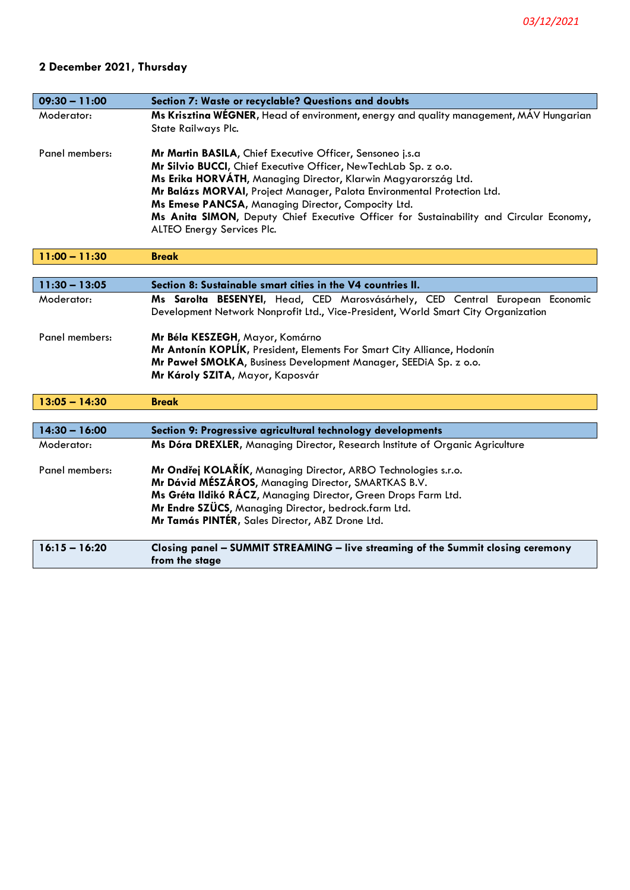# **2 December 2021, Thursday**

| $09:30 - 11:00$ | Section 7: Waste or recyclable? Questions and doubts                                                                                                                                                                                                                                                                                                                                                                                                     |
|-----------------|----------------------------------------------------------------------------------------------------------------------------------------------------------------------------------------------------------------------------------------------------------------------------------------------------------------------------------------------------------------------------------------------------------------------------------------------------------|
| Moderator:      | Ms Krisztina WEGNER, Head of environment, energy and quality management, MAV Hungarian<br>State Railways Plc.                                                                                                                                                                                                                                                                                                                                            |
| Panel members:  | Mr Martin BASILA, Chief Executive Officer, Sensoneo j.s.a<br>Mr Silvio BUCCI, Chief Executive Officer, NewTechLab Sp. z o.o.<br>Ms Erika HORVÁTH, Managing Director, Klarwin Magyarország Ltd.<br>Mr Balázs MORVAI, Project Manager, Palota Environmental Protection Ltd.<br>Ms Emese PANCSA, Managing Director, Compocity Ltd.<br>Ms Anita SIMON, Deputy Chief Executive Officer for Sustainability and Circular Economy,<br>ALTEO Energy Services Plc. |
| $11:00 - 11:30$ | <b>Break</b>                                                                                                                                                                                                                                                                                                                                                                                                                                             |
|                 |                                                                                                                                                                                                                                                                                                                                                                                                                                                          |
| $11:30 - 13:05$ | Section 8: Sustainable smart cities in the V4 countries II.                                                                                                                                                                                                                                                                                                                                                                                              |
| Moderator:      | Ms Sarolta BESENYEI, Head, CED Marosvásárhely, CED Central European Economic<br>Development Network Nonprofit Ltd., Vice-President, World Smart City Organization                                                                                                                                                                                                                                                                                        |
| Panel members:  | Mr Béla KESZEGH, Mayor, Komárno<br>Mr Antonín KOPLÍK, President, Elements For Smart City Alliance, Hodonín<br>Mr Paweł SMOŁKA, Business Development Manager, SEEDiA Sp. z o.o.<br>Mr Károly SZITA, Mayor, Kaposvár                                                                                                                                                                                                                                       |
| $13:05 - 14:30$ | <b>Break</b>                                                                                                                                                                                                                                                                                                                                                                                                                                             |
|                 |                                                                                                                                                                                                                                                                                                                                                                                                                                                          |
| $14:30 - 16:00$ | Section 9: Progressive agricultural technology developments                                                                                                                                                                                                                                                                                                                                                                                              |
| Moderator:      | Ms Dóra DREXLER, Managing Director, Research Institute of Organic Agriculture                                                                                                                                                                                                                                                                                                                                                                            |
| Panel members:  | Mr Ondřej KOLAŘÍK, Managing Director, ARBO Technologies s.r.o.<br>Mr Dávid MÉSZÁROS, Managing Director, SMARTKAS B.V.<br>Ms Gréta Ildikó RÁCZ, Managing Director, Green Drops Farm Ltd.<br>Mr Endre SZÜCS, Managing Director, bedrock.farm Ltd.<br>Mr Tamás PINTÉR, Sales Director, ABZ Drone Ltd.                                                                                                                                                       |
| $16:15 - 16:20$ | Closing panel - SUMMIT STREAMING - live streaming of the Summit closing ceremony<br>from the stage                                                                                                                                                                                                                                                                                                                                                       |